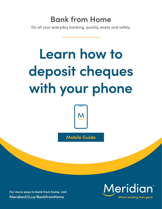# **Bank from Home**

Do all your everyday banking, quickly, easily and safely.

# **Learn how to deposit cheques with your phone**



**Mobile Guide**

**For more ways to bank from home, visit [MeridianCU.ca/BankFromHome](http://MeridianCU.ca/BankFromHome)**

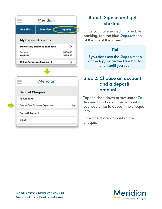|                      | <b>Meridian</b>              |                      |
|----------------------|------------------------------|----------------------|
| <b>Pay Bills</b>     | Transfers (                  | <b>Deposits</b>      |
|                      | <b>My Deposit Accounts</b>   |                      |
|                      | Day to Day Business Expenses |                      |
| Balance<br>Available |                              | \$900.00<br>\$900.00 |
|                      | Online Advantage Savings - 0 | ⋋                    |
|                      |                              |                      |
|                      | <b>Meridian</b>              |                      |
|                      | <b>Deposit Cheques</b>       |                      |
| <b>To Account</b>    |                              |                      |
|                      | Day to Day Business Expenses |                      |
|                      | <b>Deposit Amount</b>        |                      |

## **Step 1: Sign in and get started**

Once you have signed in to mobile banking, tap the blue *Deposits* tab at the top of the screen.

#### Tip!

If you don't see the *Deposits* tab at the top, swipe the blue bar to the left until you see it.

#### **Step 2: Choose an account and a deposit amount**

Tap the drop down arrow under *To Account,* and select the account that you would like to deposit the cheque into.

Enter the dollar amount of the cheque.

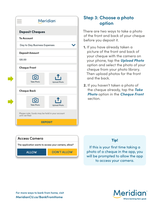| <b>Meridian</b>                                                  |  |  |
|------------------------------------------------------------------|--|--|
| <b>Deposit Cheques</b>                                           |  |  |
| <b>To Account</b>                                                |  |  |
| Day to Day Business Expenses                                     |  |  |
| <b>Deposit Amount</b>                                            |  |  |
| 120.00                                                           |  |  |
| <b>Cheque Front</b>                                              |  |  |
| <b>Take Photo</b><br><b>Upload Photo</b>                         |  |  |
| <b>Cheque Back</b>                                               |  |  |
| <b>Take Photo</b><br><b>Upload Photo</b>                         |  |  |
| Please note: funds may be held in your account<br>until verified |  |  |
| <b>DEPOSIT</b>                                                   |  |  |

### **Step 3: Choose a photo option**

There are two ways to take a photo of the front and back of your cheque before you deposit it.

- 1. If you have already taken a picture of the front and back of your cheque with the camera on your phone, tap the *Upload Photo* option and select the photo of your cheque from your photo library. Then upload photos for the front and the back.
- 2. If you haven't taken a photo of the cheque already, tap the *Take Photo* option in the *Cheque Front* section.



#### Tip!

If this is your first time taking a photo of a cheque in the app, you will be prompted to allow the app to access your camera.

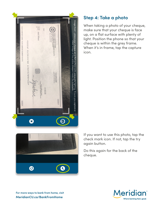

### **Step 4: Take a photo**

When taking a photo of your cheque, make sure that your cheque is face up, on a flat surface with plenty of light. Position the phone so that your cheque is within the grey frame. When it's in frame, tap the capture icon.



If you want to use this photo, tap the check mark icon. If not, tap the try again button.

Do this again for the back of the cheque.

**For more ways to bank from home, visit MeridianCU.ca/BankFromHome**